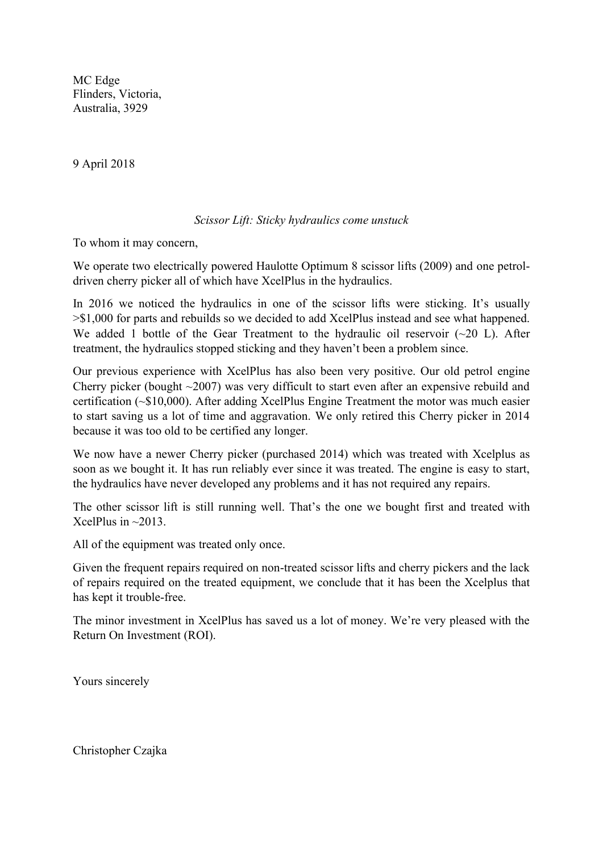MC Edge Flinders, Victoria, Australia, 3929

9 April 2018

## *Scissor Lift: Sticky hydraulics come unstuck*

To whom it may concern,

We operate two electrically powered Haulotte Optimum 8 scissor lifts (2009) and one petroldriven cherry picker all of which have XcelPlus in the hydraulics.

In 2016 we noticed the hydraulics in one of the scissor lifts were sticking. It's usually >\$1,000 for parts and rebuilds so we decided to add XcelPlus instead and see what happened. We added 1 bottle of the Gear Treatment to the hydraulic oil reservoir  $(\sim 20)$  L). After treatment, the hydraulics stopped sticking and they haven't been a problem since.

Our previous experience with XcelPlus has also been very positive. Our old petrol engine Cherry picker (bought ~2007) was very difficult to start even after an expensive rebuild and certification (~\$10,000). After adding XcelPlus Engine Treatment the motor was much easier to start saving us a lot of time and aggravation. We only retired this Cherry picker in 2014 because it was too old to be certified any longer.

We now have a newer Cherry picker (purchased 2014) which was treated with Xcelplus as soon as we bought it. It has run reliably ever since it was treated. The engine is easy to start, the hydraulics have never developed any problems and it has not required any repairs.

The other scissor lift is still running well. That's the one we bought first and treated with XcelPlus in  $\sim$ 2013.

All of the equipment was treated only once.

Given the frequent repairs required on non-treated scissor lifts and cherry pickers and the lack of repairs required on the treated equipment, we conclude that it has been the Xcelplus that has kept it trouble-free.

The minor investment in XcelPlus has saved us a lot of money. We're very pleased with the Return On Investment (ROI).

Yours sincerely

Christopher Czajka